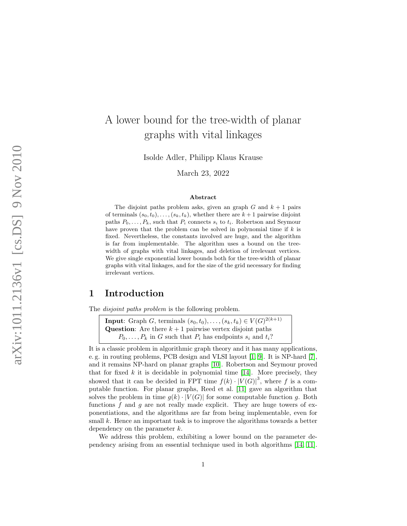# A lower bound for the tree-width of planar graphs with vital linkages

Isolde Adler, Philipp Klaus Krause

March 23, 2022

#### Abstract

The disjoint paths problem asks, given an graph  $G$  and  $k+1$  pairs of terminals  $(s_0, t_0), \ldots, (s_k, t_k)$ , whether there are  $k+1$  pairwise disjoint paths  $P_0, \ldots, P_k$ , such that  $P_i$  connects  $s_i$  to  $t_i$ . Robertson and Seymour have proven that the problem can be solved in polynomial time if  $k$  is fixed. Nevertheless, the constants involved are huge, and the algorithm is far from implementable. The algorithm uses a bound on the treewidth of graphs with vital linkages, and deletion of irrelevant vertices. We give single exponential lower bounds both for the tree-width of planar graphs with vital linkages, and for the size of the grid necessary for finding irrelevant vertices.

# 1 Introduction

The disjoint paths problem is the following problem.

**Input**: Graph G, terminals  $(s_0, t_0), \ldots, (s_k, t_k) \in V(G)^{2(k+1)}$ **Question:** Are there  $k+1$  pairwise vertex disjoint paths  $P_0, \ldots, P_k$  in G such that  $P_i$  has endpoints  $s_i$  and  $t_i$ ?

It is a classic problem in algorithmic graph theory and it has many applications, e. g. in routing problems, PCB design and VLSI layout [\[1,](#page-7-0) [9\]](#page-7-1). It is NP-hard [\[7\]](#page-7-2), and it remains NP-hard on planar graphs [\[10\]](#page-7-3). Robertson and Seymour proved that for fixed  $k$  it is decidable in polynomial time [\[14\]](#page-8-0). More precisely, they showed that it can be decided in FPT time  $f(k) \cdot |V(G)|^3$ , where f is a computable function. For planar graphs, Reed et al. [\[11\]](#page-7-4) gave an algorithm that solves the problem in time  $g(k) \cdot |V(G)|$  for some computable function g. Both functions  $f$  and  $g$  are not really made explicit. They are huge towers of exponentiations, and the algorithms are far from being implementable, even for small k. Hence an important task is to improve the algorithms towards a better dependency on the parameter  $k$ .

We address this problem, exhibiting a lower bound on the parameter dependency arising from an essential technique used in both algorithms [\[14,](#page-8-0) [11\]](#page-7-4).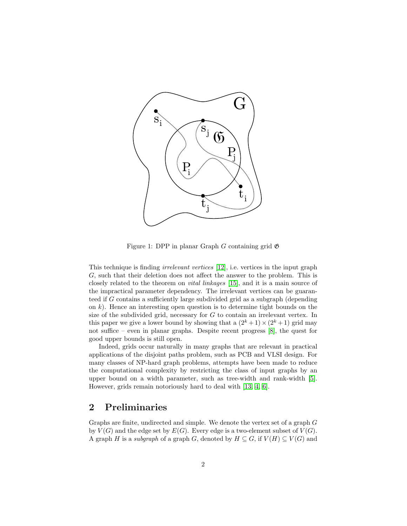

<span id="page-1-0"></span>Figure 1: DPP in planar Graph G containing grid  $\mathfrak{G}$ 

This technique is finding irrelevant vertices [\[12\]](#page-7-5), i.e. vertices in the input graph G, such that their deletion does not affect the answer to the problem. This is closely related to the theorem on vital linkages [\[15\]](#page-8-1), and it is a main source of the impractical parameter dependency. The irrelevant vertices can be guaranteed if G contains a sufficiently large subdivided grid as a subgraph (depending on  $k$ ). Hence an interesting open question is to determine tight bounds on the size of the subdivided grid, necessary for G to contain an irrelevant vertex. In this paper we give a lower bound by showing that a  $(2^k + 1) \times (2^k + 1)$  grid may not suffice – even in planar graphs. Despite recent progress [\[8\]](#page-7-6), the quest for good upper bounds is still open.

Indeed, grids occur naturally in many graphs that are relevant in practical applications of the disjoint paths problem, such as PCB and VLSI design. For many classes of NP-hard graph problems, attempts have been made to reduce the computational complexity by restricting the class of input graphs by an upper bound on a width parameter, such as tree-width and rank-width [\[5\]](#page-7-7). However, grids remain notoriously hard to deal with [\[13,](#page-7-8) [4,](#page-7-9) [6\]](#page-7-10).

# 2 Preliminaries

Graphs are finite, undirected and simple. We denote the vertex set of a graph G by  $V(G)$  and the edge set by  $E(G)$ . Every edge is a two-element subset of  $V(G)$ . A graph H is a subgraph of a graph G, denoted by  $H \subseteq G$ , if  $V(H) \subseteq V(G)$  and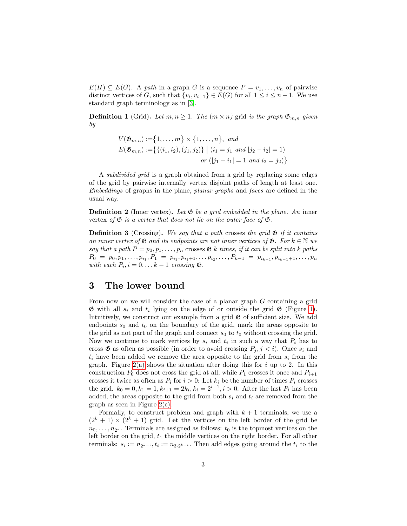$E(H) \subseteq E(G)$ . A path in a graph G is a sequence  $P = v_1, \ldots, v_n$  of pairwise distinct vertices of G, such that  $\{v_i, v_{i+1}\} \in E(G)$  for all  $1 \leq i \leq n-1$ . We use standard graph terminology as in [\[3\]](#page-7-11).

**Definition 1** (Grid). Let  $m, n \geq 1$ . The  $(m \times n)$  grid is the graph  $\mathfrak{G}_{m,n}$  given by

$$
V(\mathfrak{G}_{m,n}) := \{1, ..., m\} \times \{1, ..., n\}, \text{ and}
$$
  
\n
$$
E(\mathfrak{G}_{m,n}) := \{ \{ (i_1, i_2), (j_1, j_2) \} \mid (i_1 = j_1 \text{ and } |j_2 - i_2| = 1)
$$
  
\n
$$
or (|j_1 - i_1| = 1 \text{ and } i_2 = j_2) \}
$$

A subdivided grid is a graph obtained from a grid by replacing some edges of the grid by pairwise internally vertex disjoint paths of length at least one. Embeddings of graphs in the plane, planar graphs and faces are defined in the usual way.

**Definition 2** (Inner vertex). Let  $\mathfrak{G}$  be a grid embedded in the plane. An inner vertex of  $\mathfrak G$  is a vertex that does not lie on the outer face of  $\mathfrak G$ .

**Definition 3** (Crossing). We say that a path crosses the grid  $\mathfrak{G}$  if it contains an inner vertex of  $\mathfrak G$  and its endpoints are not inner vertices of  $\mathfrak G$ . For  $k \in \mathbb N$  we say that a path  $P = p_0, p_1, \ldots, p_n$  crosses  $\mathfrak{G}$  k times, if it can be split into k paths  $P_0 = p_0, p_1, \ldots, p_{i_1}, P_1 = p_{i_1}, p_{i_1+1}, \ldots, p_{i_2}, \ldots, P_{k-1} = p_{i_{k-1}}, p_{i_{k-1}+1}, \ldots, p_n$ with each  $P_i$ ,  $i = 0, \ldots k - 1$  crossing  $\mathfrak{G}$ .

# 3 The lower bound

From now on we will consider the case of a planar graph G containing a grid  $\mathfrak G$  with all  $s_i$  and  $t_i$  lying on the edge of or outside the grid  $\mathfrak G$  (Figure [1\)](#page-1-0). Intuitively, we construct our example from a grid  $\mathfrak G$  of sufficient size. We add endpoints  $s_0$  and  $t_0$  on the boundary of the grid, mark the areas opposite to the grid as not part of the graph and connect  $s_0$  to  $t_0$  without crossing the grid. Now we continue to mark vertices by  $s_i$  and  $t_i$  in such a way that  $P_i$  has to cross  $\mathfrak G$  as often as possible (in order to avoid crossing  $P_j, j < i$ ). Once  $s_i$  and  $t_i$  have been added we remove the area opposite to the grid from  $s_i$  from the graph. Figure  $2(a)$  shows the situation after doing this for i up to 2. In this construction  $P_0$  does not cross the grid at all, while  $P_1$  crosses it once and  $P_{i+1}$ crosses it twice as often as  $P_i$  for  $i > 0$ : Let  $k_i$  be the number of times  $P_i$  crosses the grid.  $k_0 = 0, k_1 = 1, k_{i+1} = 2k_i, k_i = 2^{i-1}, i > 0$ . After the last  $P_i$  has been added, the areas opposite to the grid from both  $s_i$  and  $t_i$  are removed from the graph as seen in Figure  $2(c)$ .

Formally, to construct problem and graph with  $k + 1$  terminals, we use a  $(2^{k} + 1) \times (2^{k} + 1)$  grid. Let the vertices on the left border of the grid be  $n_0, \ldots, n_{2^k}$ . Terminals are assigned as follows:  $t_0$  is the topmost vertices on the left border on the grid,  $t_1$  the middle vertices on the right border. For all other terminals:  $s_i := n_{2^{k-i}}, t_i := n_{3 \cdot 2^{k-i}}$ . Then add edges going around the  $t_i$  to the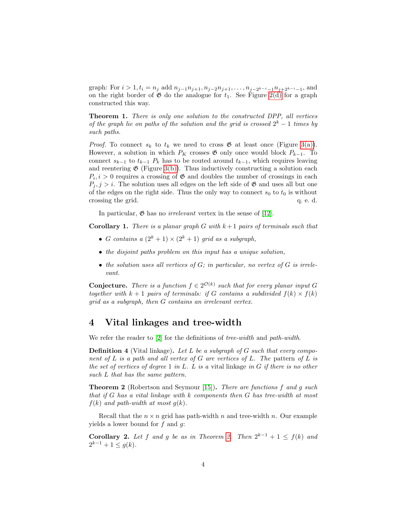graph: For  $i > 1$ ,  $t_i = n_j$  add  $n_{j-1}n_{j+1}, n_{j-2}n_{j+1}, \ldots, n_{j-2^{k-i}-1}n_{j+2^{k-i}-1}$ , and on the right border of  $\mathfrak G$  do the analogue for  $t_1$ . See Figure [2\(d\)](#page-4-2) for a graph constructed this way.

Theorem 1. There is only one solution to the constructed DPP, all vertices of the graph lie on paths of the solution and the grid is crossed  $2^k - 1$  times by such paths.

*Proof.* To connect  $s_k$  to  $t_k$  we need to cross  $\mathfrak{G}$  at least once (Figure [3\(a\)\)](#page-6-0). However, a solution in which  $P_K$  crosses  $\mathfrak G$  only once would block  $P_{k-1}$ . To connect  $s_{k-1}$  to  $t_{k-1}$   $P_k$  has to be routed around  $t_{k-1}$ , which requires leaving and reentering  $\mathfrak{G}$  (Figure [3\(b\)\)](#page-6-1). Thus inductively constructing a solution each  $P_i, i > 0$  requires a crossing of  $\mathfrak{G}$  and doubles the number of crossings in each  $P_i, j > i$ . The solution uses all edges on the left side of  $\mathfrak{G}$  and uses all but one of the edges on the right side. Thus the only way to connect  $s_0$  to  $t_0$  is without crossing the grid.  $q. e. d.$ 

In particular,  $\mathfrak{G}$  has no *irrelevant* vertex in the sense of [\[12\]](#page-7-5).

**Corollary 1.** There is a planar graph G with  $k+1$  pairs of terminals such that

- G contains a  $(2^k + 1) \times (2^k + 1)$  grid as a subgraph,
- the disjoint paths problem on this input has a unique solution,
- the solution uses all vertices of  $G$ ; in particular, no vertex of  $G$  is irrelevant.

**Conjecture.** There is a function  $f \in 2^{\mathcal{O}(k)}$  such that for every planar input G together with  $k + 1$  pairs of terminals: if G contains a subdivided  $f(k) \times f(k)$ grid as a subgraph, then G contains an irrelevant vertex.

# 4 Vital linkages and tree-width

We refer the reader to |2| for the definitions of *tree-width* and *path-width*.

**Definition 4** (Vital linkage). Let L be a subgraph of G such that every component of  $L$  is a path and all vertex of  $G$  are vertices of  $L$ . The pattern of  $L$  is the set of vertices of degree 1 in L. L is a vital linkage in  $G$  if there is no other such L that has the same pattern.

<span id="page-3-0"></span>**Theorem 2** (Robertson and Seymour [\[15\]](#page-8-1)). There are functions f and g such that if  $G$  has a vital linkage with  $k$  components then  $G$  has tree-width at most  $f(k)$  and path-width at most  $q(k)$ .

Recall that the  $n \times n$  grid has path-width n and tree-width n. Our example yields a lower bound for  $f$  and  $g$ :

**Corollary [2.](#page-3-0)** Let f and g be as in Theorem 2. Then  $2^{k-1} + 1 \le f(k)$  and  $2^{k-1} + 1 \leq g(k)$ .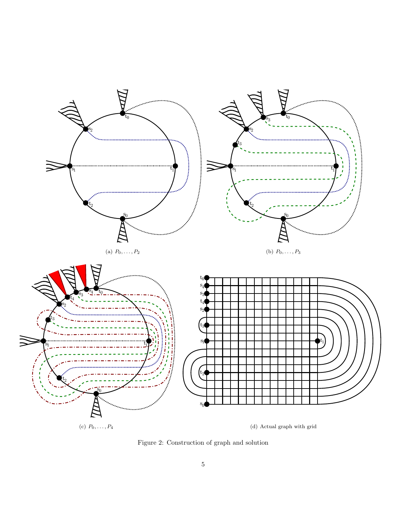<span id="page-4-0"></span>

<span id="page-4-2"></span><span id="page-4-1"></span>Figure 2: Construction of graph and solution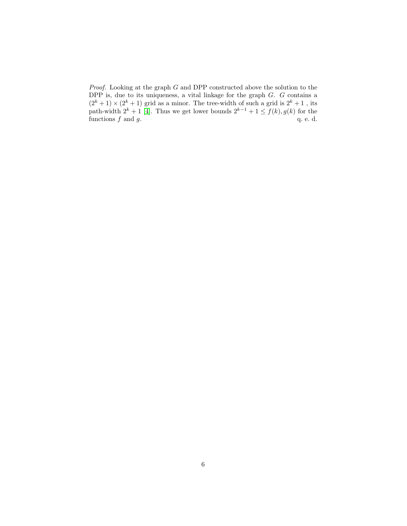*Proof.* Looking at the graph  $G$  and DPP constructed above the solution to the DPP is, due to its uniqueness, a vital linkage for the graph  $G$ .  $G$  contains a  $(2^{k} + 1) \times (2^{k} + 1)$  grid as a minor. The tree-width of such a grid is  $2^{k} + 1$ , its path-width  $2^k + 1$  [\[4\]](#page-7-9). Thus we get lower bounds  $2^{k-1} + 1 \le f(k)$ ,  $g(k)$  for the functions  $f$  and  $g$ .  $q$ . e. d.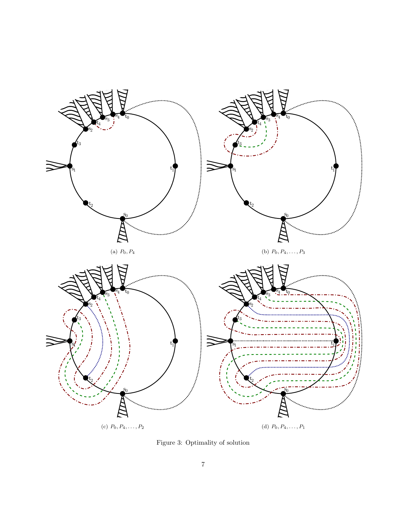<span id="page-6-0"></span>

<span id="page-6-1"></span>Figure 3: Optimality of solution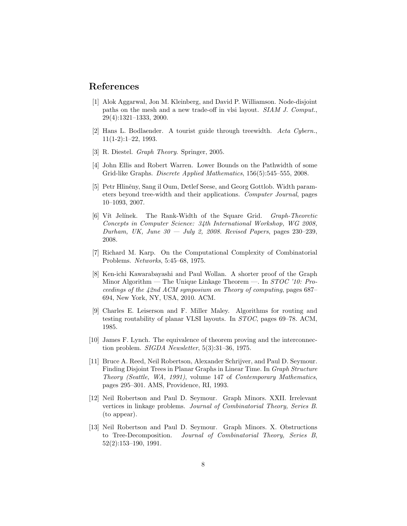### References

- <span id="page-7-0"></span>[1] Alok Aggarwal, Jon M. Kleinberg, and David P. Williamson. Node-disjoint paths on the mesh and a new trade-off in vlsi layout. SIAM J. Comput., 29(4):1321–1333, 2000.
- <span id="page-7-12"></span>[2] Hans L. Bodlaender. A tourist guide through treewidth. Acta Cybern., 11(1-2):1–22, 1993.
- <span id="page-7-11"></span>[3] R. Diestel. Graph Theory. Springer, 2005.
- <span id="page-7-9"></span>[4] John Ellis and Robert Warren. Lower Bounds on the Pathwidth of some Grid-like Graphs. Discrete Applied Mathematics, 156(5):545–555, 2008.
- <span id="page-7-7"></span>[5] Petr Hliněny, Sang il Oum, Detlef Seese, and Georg Gottlob. Width parameters beyond tree-width and their applications. Computer Journal, pages 10–1093, 2007.
- <span id="page-7-10"></span>[6] Vít Jelínek. The Rank-Width of the Square Grid. *Graph-Theoretic* Concepts in Computer Science: 34th International Workshop, WG 2008, Durham, UK, June  $30 - \text{July } 2$ , 2008. Revised Papers, pages 230–239, 2008.
- <span id="page-7-2"></span>[7] Richard M. Karp. On the Computational Complexity of Combinatorial Problems. Networks, 5:45–68, 1975.
- <span id="page-7-6"></span>[8] Ken-ichi Kawarabayashi and Paul Wollan. A shorter proof of the Graph Minor Algorithm — The Unique Linkage Theorem —. In STOC '10: Proceedings of the 42nd ACM symposium on Theory of computing, pages 687– 694, New York, NY, USA, 2010. ACM.
- <span id="page-7-1"></span>[9] Charles E. Leiserson and F. Miller Maley. Algorithms for routing and testing routability of planar VLSI layouts. In STOC, pages 69–78. ACM, 1985.
- <span id="page-7-3"></span>[10] James F. Lynch. The equivalence of theorem proving and the interconnection problem. SIGDA Newsletter, 5(3):31–36, 1975.
- <span id="page-7-4"></span>[11] Bruce A. Reed, Neil Robertson, Alexander Schrijver, and Paul D. Seymour. Finding Disjoint Trees in Planar Graphs in Linear Time. In Graph Structure Theory (Seattle, WA, 1991), volume 147 of Contemporary Mathematics, pages 295–301. AMS, Providence, RI, 1993.
- <span id="page-7-5"></span>[12] Neil Robertson and Paul D. Seymour. Graph Minors. XXII. Irrelevant vertices in linkage problems. Journal of Combinatorial Theory, Series B. (to appear).
- <span id="page-7-8"></span>[13] Neil Robertson and Paul D. Seymour. Graph Minors. X. Obstructions to Tree-Decomposition. Journal of Combinatorial Theory, Series B, 52(2):153–190, 1991.